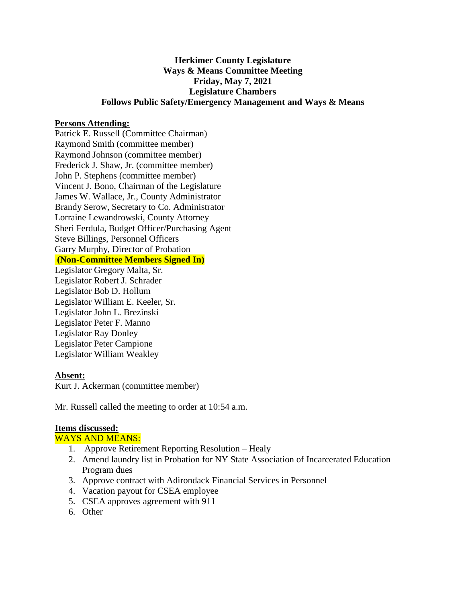# **Herkimer County Legislature Ways & Means Committee Meeting Friday, May 7, 2021 Legislature Chambers Follows Public Safety/Emergency Management and Ways & Means**

#### **Persons Attending:**

Patrick E. Russell (Committee Chairman) Raymond Smith (committee member) Raymond Johnson (committee member) Frederick J. Shaw, Jr. (committee member) John P. Stephens (committee member) Vincent J. Bono, Chairman of the Legislature James W. Wallace, Jr., County Administrator Brandy Serow, Secretary to Co. Administrator Lorraine Lewandrowski, County Attorney Sheri Ferdula, Budget Officer/Purchasing Agent Steve Billings, Personnel Officers Garry Murphy, Director of Probation **(Non-Committee Members Signed In)** Legislator Gregory Malta, Sr.

Legislator Robert J. Schrader Legislator Bob D. Hollum Legislator William E. Keeler, Sr. Legislator John L. Brezinski Legislator Peter F. Manno Legislator Ray Donley Legislator Peter Campione Legislator William Weakley

### **Absent:**

Kurt J. Ackerman (committee member)

Mr. Russell called the meeting to order at 10:54 a.m.

### **Items discussed:**

WAYS AND MEANS:

- 1. Approve Retirement Reporting Resolution Healy
- 2. Amend laundry list in Probation for NY State Association of Incarcerated Education Program dues
- 3. Approve contract with Adirondack Financial Services in Personnel
- 4. Vacation payout for CSEA employee
- 5. CSEA approves agreement with 911
- 6. Other